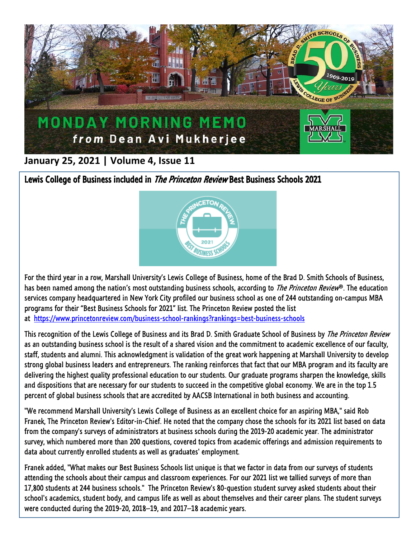

## **January 25, 2021 | Volume 4, Issue 11**

Lewis College of Business included in *The Princeton Review* Best Business Schools 2021



For the third year in a row, Marshall University's Lewis College of Business, home of the Brad D. Smith Schools of Business, has been named among the nation's most outstanding business schools, according to *The Princeton Review*®. The education services company headquartered in New York City profiled our business school as one of 244 outstanding on-campus MBA programs for their "Best Business Schools for 2021" list. The Princeton Review posted the list at <https://www.princetonreview.com/business-school-rankings?rankings=best-business-schools>

This recognition of the Lewis College of Business and its Brad D. Smith Graduate School of Business by *The Princeton Review* as an outstanding business school is the result of a shared vision and the commitment to academic excellence of our faculty, staff, students and alumni. This acknowledgment is validation of the great work happening at Marshall University to develop strong global business leaders and entrepreneurs. The ranking reinforces that fact that our MBA program and its faculty are delivering the highest quality professional education to our students. Our graduate programs sharpen the knowledge, skills and dispositions that are necessary for our students to succeed in the competitive global economy. We are in the top 1.5 percent of global business schools that are accredited by AACSB International in both business and accounting.

"We recommend Marshall University's Lewis College of Business as an excellent choice for an aspiring MBA," said Rob Franek, The Princeton Review's Editor-in-Chief. He noted that the company chose the schools for its 2021 list based on data from the company's surveys of administrators at business schools during the 2019-20 academic year. The administrator survey, which numbered more than 200 questions, covered topics from academic offerings and admission requirements to data about currently enrolled students as well as graduates' employment.

Franek added, "What makes our Best Business Schools list unique is that we factor in data from our surveys of students attending the schools about their campus and classroom experiences. For our 2021 list we tallied surveys of more than 17,800 students at 244 business schools." The Princeton Review's 80-question student survey asked students about their school's academics, student body, and campus life as well as about themselves and their career plans. The student surveys were conducted during the 2019-20, 2018–19, and 2017–18 academic years.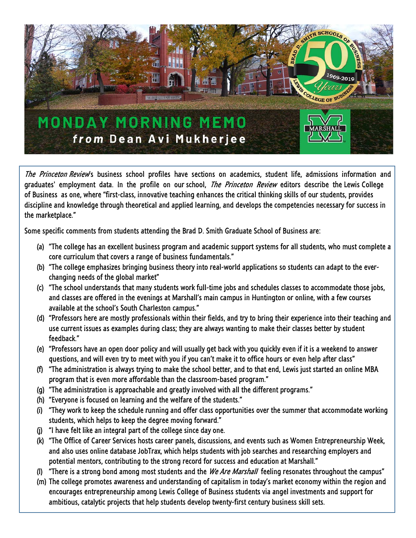

The Princeton Review's business school profiles have sections on academics, student life, admissions information and graduates' employment data. In the profile on our school, *The Princeton Review* editors describe the Lewis College of Business as one, where "first-class, innovative teaching enhances the critical thinking skills of our students, provides discipline and knowledge through theoretical and applied learning, and develops the competencies necessary for success in the marketplace."

Some specific comments from students attending the Brad D. Smith Graduate School of Business are:

- (a) "The college has an excellent business program and academic support systems for all students, who must complete a core curriculum that covers a range of business fundamentals."
- (b) "The college emphasizes bringing business theory into real-world applications so students can adapt to the everchanging needs of the global market"
- (c) "The school understands that many students work full-time jobs and schedules classes to accommodate those jobs, and classes are offered in the evenings at Marshall's main campus in Huntington or online, with a few courses available at the school's South Charleston campus."
- (d) "Professors here are mostly professionals within their fields, and try to bring their experience into their teaching and use current issues as examples during class; they are always wanting to make their classes better by student feedback."
- (e) "Professors have an open door policy and will usually get back with you quickly even if it is a weekend to answer questions, and will even try to meet with you if you can't make it to office hours or even help after class"
- (f) "The administration is always trying to make the school better, and to that end, Lewis just started an online MBA program that is even more affordable than the classroom-based program."
- (g) "The administration is approachable and greatly involved with all the different programs."
- (h) "Everyone is focused on learning and the welfare of the students."
- (i) "They work to keep the schedule running and offer class opportunities over the summer that accommodate working students, which helps to keep the degree moving forward."
- (j) "I have felt like an integral part of the college since day one.
- (k) "The Office of Career Services hosts career panels, discussions, and events such as Women Entrepreneurship Week, and also uses online database JobTrax, which helps students with job searches and researching employers and potential mentors, contributing to the strong record for success and education at Marshall."
- (I) "There is a strong bond among most students and the *We Are Marshall* feeling resonates throughout the campus"
- (m) The college promotes awareness and understanding of capitalism in today's market economy within the region and encourages entrepreneurship among Lewis College of Business students via angel investments and support for ambitious, catalytic projects that help students develop twenty-first century business skill sets.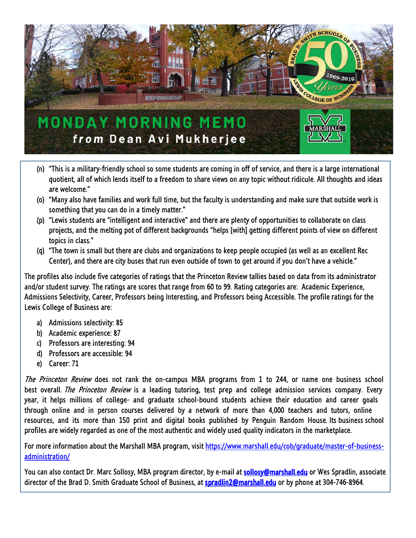

- (n) "This is a military-friendly school so some students are coming in off of service, and there is a large international quotient, all of which lends itself to a freedom to share views on any topic without ridicule. All thoughts and ideas are welcome."
- (o) "Many also have families and work full time, but the faculty is understanding and make sure that outside work is something that you can do in a timely matter."
- (p) "Lewis students are "intelligent and interactive" and there are plenty of opportunities to collaborate on class projects, and the melting pot of different backgrounds "helps [with] getting different points of view on different topics in class."
- (q) "The town is small but there are clubs and organizations to keep people occupied (as well as an excellent Rec Center), and there are city buses that run even outside of town to get around if you don't have a vehicle."

The profiles also include five categories of ratings that the Princeton Review tallies based on data from its administrator and/or student survey. The ratings are scores that range from 60 to 99. Rating categories are: Academic Experience, Admissions Selectivity, Career, Professors being Interesting, and Professors being Accessible. The profile ratings for the Lewis College of Business are:

- a) Admissions selectivity: 85
- b) Academic experience: 87
- c) Professors are interesting: 94
- d) Professors are accessible: 94
- e) Career: 71

The Princeton Review does not rank the on-campus MBA programs from 1 to 244, or name one business school best overall. The Princeton Review is a leading tutoring, test prep and college admission services company. Every year, it helps millions of college- and graduate school-bound students achieve their education and career goals through online and in person courses delivered by a network of more than 4,000 teachers and tutors, online resources, and its more than 150 print and digital books published by Penguin Random House. Its business school profiles are widely regarded as one of the most authentic and widely used quality indicators in the marketplace.

For more information about the Marshall MBA program, visit [https://www.marshall.edu/cob/graduate/master-of-business](https://www.marshall.edu/cob/graduate/master-of-business-administration/)[administration/](https://www.marshall.edu/cob/graduate/master-of-business-administration/)

You can also contact Dr. Marc Sollosy, MBA program director, by e-mail at [sollosy@marshall.edu](mailto:sollosy@marshall.edu) or Wes Spradlin, associate director of the Brad D. Smith Graduate School of Business, at [spradlin2@marshall.edu](mailto:spradlin2@marshall.edu) or by phone at 304-746-8964.